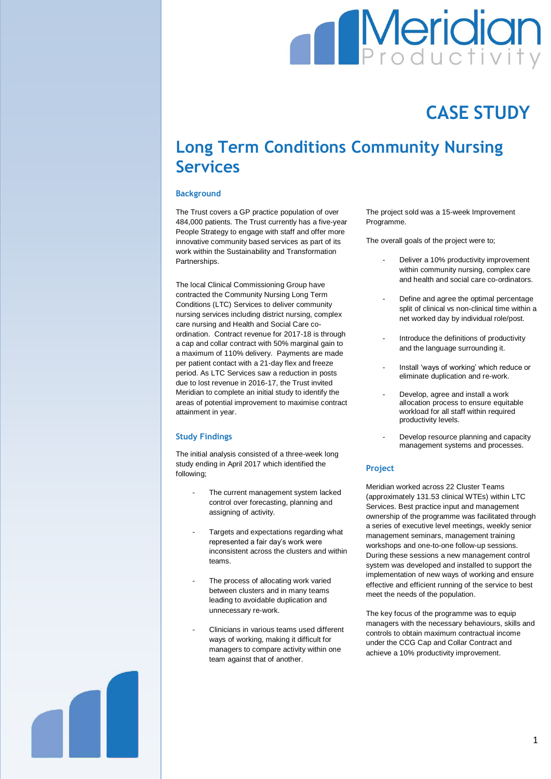# **Meridian**

## **CASE STUDY**

### **Long Term Conditions Community Nursing Services**

#### **Background**

The Trust covers a GP practice population of over 484,000 patients. The Trust currently has a five-year People Strategy to engage with staff and offer more innovative community based services as part of its work within the Sustainability and Transformation Partnerships.

The local Clinical Commissioning Group have contracted the Community Nursing Long Term Conditions (LTC) Services to deliver community nursing services including district nursing, complex care nursing and Health and Social Care coordination. Contract revenue for 2017-18 is through a cap and collar contract with 50% marginal gain to a maximum of 110% delivery. Payments are made per patient contact with a 21-day flex and freeze period. As LTC Services saw a reduction in posts due to lost revenue in 2016-17, the Trust invited Meridian to complete an initial study to identify the areas of potential improvement to maximise contract attainment in year.

#### **Study Findings**

The initial analysis consisted of a three-week long study ending in April 2017 which identified the following;

- The current management system lacked control over forecasting, planning and assigning of activity.
- Targets and expectations regarding what represented a fair day's work were inconsistent across the clusters and within teams.
- The process of allocating work varied between clusters and in many teams leading to avoidable duplication and unnecessary re-work.
- Clinicians in various teams used different ways of working, making it difficult for managers to compare activity within one team against that of another.

The project sold was a 15-week Improvement Programme.

The overall goals of the project were to;

- Deliver a 10% productivity improvement within community nursing, complex care and health and social care co-ordinators.
- Define and agree the optimal percentage split of clinical vs non-clinical time within a net worked day by individual role/post.
- Introduce the definitions of productivity and the language surrounding it.
- Install 'ways of working' which reduce or eliminate duplication and re-work.
- Develop, agree and install a work allocation process to ensure equitable workload for all staff within required productivity levels.
- Develop resource planning and capacity management systems and processes.

#### **Project**

Meridian worked across 22 Cluster Teams (approximately 131.53 clinical WTEs) within LTC Services. Best practice input and management ownership of the programme was facilitated through a series of executive level meetings, weekly senior management seminars, management training workshops and one-to-one follow-up sessions. During these sessions a new management control system was developed and installed to support the implementation of new ways of working and ensure effective and efficient running of the service to best meet the needs of the population.

The key focus of the programme was to equip managers with the necessary behaviours, skills and controls to obtain maximum contractual income under the CCG Cap and Collar Contract and achieve a 10% productivity improvement.

1